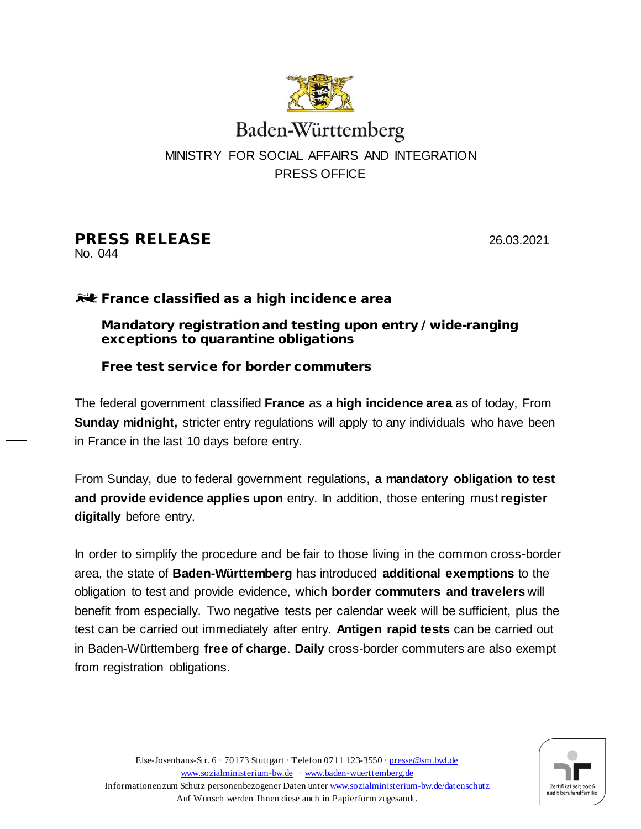

# Baden-Württemberg MINISTRY FOR SOCIAL AFFAIRS AND INTEGRATION PRESS OFFICE

# **PRESS RELEASE** 26.03.2021

No. 044

## **RU** France classified as a high incidence area

#### Mandatory registration and testing upon entry / wide-ranging exceptions to quarantine obligations

### Free test service for border commuters

The federal government classified **France** as a **high incidence area** as of today, From **Sunday midnight,** stricter entry regulations will apply to any individuals who have been in France in the last 10 days before entry.

From Sunday, due to federal government regulations, **a mandatory obligation to test and provide evidence applies upon** entry. In addition, those entering must **register digitally** before entry.

In order to simplify the procedure and be fair to those living in the common cross-border area, the state of **Baden-Württemberg** has introduced **additional exemptions** to the obligation to test and provide evidence, which **border commuters and travelers** will benefit from especially. Two negative tests per calendar week will be sufficient, plus the test can be carried out immediately after entry. **Antigen rapid tests** can be carried out in Baden-Württemberg **free of charge**. **Daily** cross-border commuters are also exempt from registration obligations.

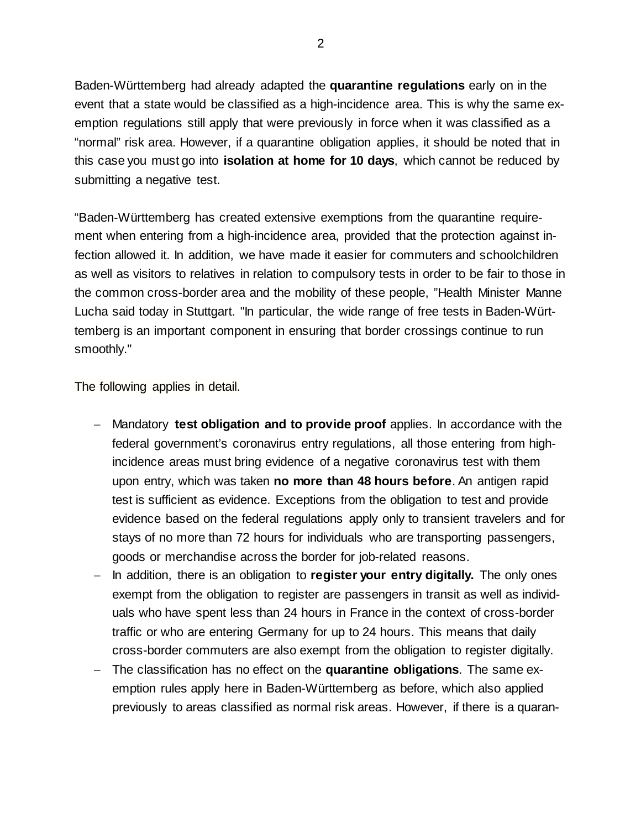Baden-Württemberg had already adapted the **quarantine regulations** early on in the event that a state would be classified as a high-incidence area. This is why the same exemption regulations still apply that were previously in force when it was classified as a "normal" risk area. However, if a quarantine obligation applies, it should be noted that in this case you must go into **isolation at home for 10 days**, which cannot be reduced by submitting a negative test.

"Baden-Württemberg has created extensive exemptions from the quarantine requirement when entering from a high-incidence area, provided that the protection against infection allowed it. In addition, we have made it easier for commuters and schoolchildren as well as visitors to relatives in relation to compulsory tests in order to be fair to those in the common cross-border area and the mobility of these people, "Health Minister Manne Lucha said today in Stuttgart. "In particular, the wide range of free tests in Baden-Württemberg is an important component in ensuring that border crossings continue to run smoothly."

The following applies in detail.

- − Mandatory **test obligation and to provide proof** applies. In accordance with the federal government's coronavirus entry regulations, all those entering from highincidence areas must bring evidence of a negative coronavirus test with them upon entry, which was taken **no more than 48 hours before**. An antigen rapid test is sufficient as evidence. Exceptions from the obligation to test and provide evidence based on the federal regulations apply only to transient travelers and for stays of no more than 72 hours for individuals who are transporting passengers, goods or merchandise across the border for job-related reasons.
- − In addition, there is an obligation to **register your entry digitally.** The only ones exempt from the obligation to register are passengers in transit as well as individuals who have spent less than 24 hours in France in the context of cross-border traffic or who are entering Germany for up to 24 hours. This means that daily cross-border commuters are also exempt from the obligation to register digitally.
- − The classification has no effect on the **quarantine obligations**. The same exemption rules apply here in Baden-Württemberg as before, which also applied previously to areas classified as normal risk areas. However, if there is a quaran-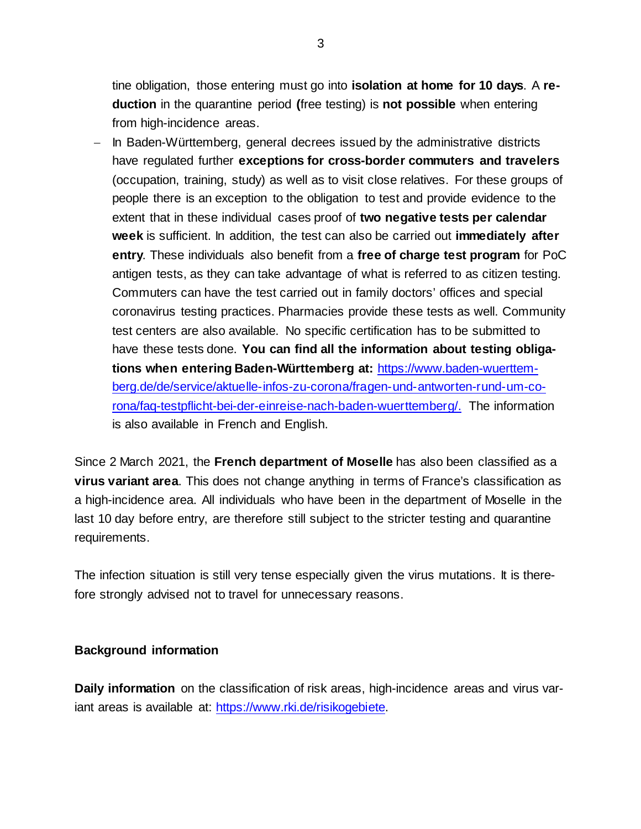tine obligation, those entering must go into **isolation at home for 10 days**. A **reduction** in the quarantine period **(**free testing) is **not possible** when entering from high-incidence areas.

− In Baden-Württemberg, general decrees issued by the administrative districts have regulated further **exceptions for cross-border commuters and travelers** (occupation, training, study) as well as to visit close relatives. For these groups of people there is an exception to the obligation to test and provide evidence to the extent that in these individual cases proof of **two negative tests per calendar week** is sufficient. In addition, the test can also be carried out **immediately after entry**. These individuals also benefit from a **free of charge test program** for PoC antigen tests, as they can take advantage of what is referred to as citizen testing. Commuters can have the test carried out in family doctors' offices and special coronavirus testing practices. Pharmacies provide these tests as well. Community test centers are also available. No specific certification has to be submitted to have these tests done. **You can find all the information about testing obligations when entering Baden-Württemberg at:** [https://www.baden-wuerttem](https://www.baden-wuerttemberg.de/de/service/aktuelle-infos-zu-corona/fragen-und-antworten-rund-um-corona/faq-testpflicht-bei-der-einreise-nach-baden-wuerttemberg/)[berg.de/de/service/aktuelle-infos-zu-corona/fragen-und-antworten-rund-um-co](https://www.baden-wuerttemberg.de/de/service/aktuelle-infos-zu-corona/fragen-und-antworten-rund-um-corona/faq-testpflicht-bei-der-einreise-nach-baden-wuerttemberg/)[rona/faq-testpflicht-bei-der-einreise-nach-baden-wuerttemberg/.](https://www.baden-wuerttemberg.de/de/service/aktuelle-infos-zu-corona/fragen-und-antworten-rund-um-corona/faq-testpflicht-bei-der-einreise-nach-baden-wuerttemberg/) The information is also available in French and English.

Since 2 March 2021, the **French department of Moselle** has also been classified as a **virus variant area**. This does not change anything in terms of France's classification as a high-incidence area. All individuals who have been in the department of Moselle in the last 10 day before entry, are therefore still subject to the stricter testing and quarantine requirements.

The infection situation is still very tense especially given the virus mutations. It is therefore strongly advised not to travel for unnecessary reasons.

#### **Background information**

**Daily information** on the classification of risk areas, high-incidence areas and virus variant areas is available at: [https://www.rki.de/risikogebiete.](https://www.rki.de/risikogebiete)

3